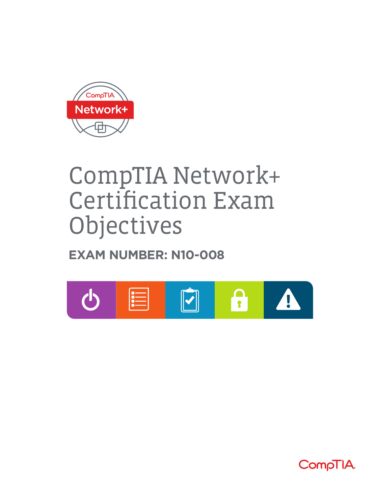

# CompTIA Network+ Certification Exam Objectives

## **EXAM NUMBER: N10-008**



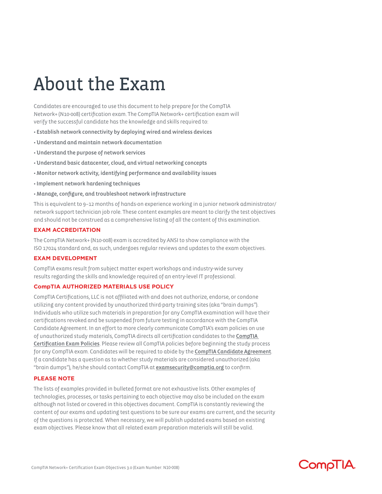# About the Exam

Candidates are encouraged to use this document to help prepare for the CompTIA Network+ (N10-008) certification exam. The CompTIA Network+ certification exam will verify the successful candidate has the knowledge and skills required to:

- Establish network connectivity by deploying wired and wireless devices
- Understand and maintain network documentation
- Understand the purpose of network services
- Understand basic datacenter, cloud, and virtual networking concepts
- Monitor network activity, identifying performance and availability issues
- Implement network hardening techniques
- Manage, configure, and troubleshoot network infrastructure

This is equivalent to 9–12 months of hands-on experience working in a junior network administrator/ network support technician job role. These content examples are meant to clarify the test objectives and should not be construed as a comprehensive listing of all the content of this examination.

#### **EXAM ACCREDITATION**

The CompTIA Network+ (N10-008) exam is accredited by ANSI to show compliance with the ISO 17024 standard and, as such, undergoes regular reviews and updates to the exam objectives.

#### **EXAM DEVELOPMENT**

CompTIA exams result from subject matter expert workshops and industry-wide survey results regarding the skills and knowledge required of an entry-level IT professional.

#### **CompTIA AUTHORIZED MATERIALS USE POLICY**

CompTIA Certifications, LLC is not affiliated with and does not authorize, endorse, or condone utilizing any content provided by unauthorized third-party training sites (aka "brain dumps"). Individuals who utilize such materials in preparation for any CompTIA examination will have their certifications revoked and be suspended from future testing in accordance with the CompTIA Candidate Agreement. In an effort to more clearly communicate CompTIA's exam policies on use of unauthorized study materials, CompTIA directs all certification candidates to the CompTIA Certification Exam Policies. Please review all CompTIA policies before beginning the study process for any CompTIA exam. Candidates will be required to abide by the CompTIA Candidate Agreement. If a candidate has a question as to whether study materials are considered unauthorized (aka "brain dumps"), he/she should contact CompTIA at examsecurity@comptia.org to confirm.

#### **PLEASE NOTE**

The lists of examples provided in bulleted format are not exhaustive lists. Other examples of technologies, processes, or tasks pertaining to each objective may also be included on the exam although not listed or covered in this objectives document. CompTIA is constantly reviewing the content of our exams and updating test questions to be sure our exams are current, and the security of the questions is protected. When necessary, we will publish updated exams based on existing exam objectives. Please know that all related exam preparation materials will still be valid.

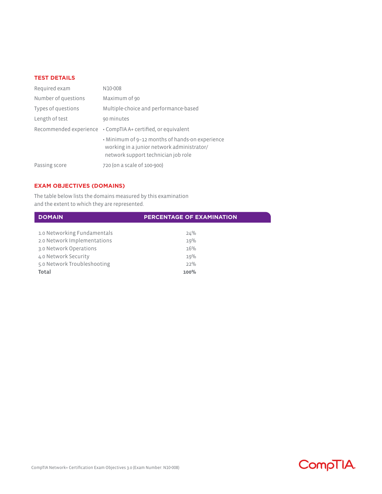#### **TEST DETAILS**

| Required exam       | N10-008                                                                                                                              |
|---------------------|--------------------------------------------------------------------------------------------------------------------------------------|
| Number of questions | Maximum of 90                                                                                                                        |
| Types of questions  | Multiple-choice and performance-based                                                                                                |
| Length of test      | 90 minutes                                                                                                                           |
|                     | Recommended experience • CompTIA A+ certified, or equivalent                                                                         |
|                     | • Minimum of 9-12 months of hands-on experience<br>working in a junior network administrator/<br>network support technician job role |
| Passing score       | 720 (on a scale of 100-900)                                                                                                          |

### **EXAM OBJECTIVES (DOMAINS)**

The table below lists the domains measured by this examination and the extent to which they are represented.

| <b>DOMAIN</b>               | <b>PERCENTAGE OF EXAMINATION</b> |
|-----------------------------|----------------------------------|
|                             |                                  |
| 1.0 Networking Fundamentals | 24%                              |
| 2.0 Network Implementations | 19%                              |
| 3.0 Network Operations      | 16%                              |
| 4.0 Network Security        | 19%                              |
| 5.0 Network Troubleshooting | 22%                              |
| Total                       | 100%                             |

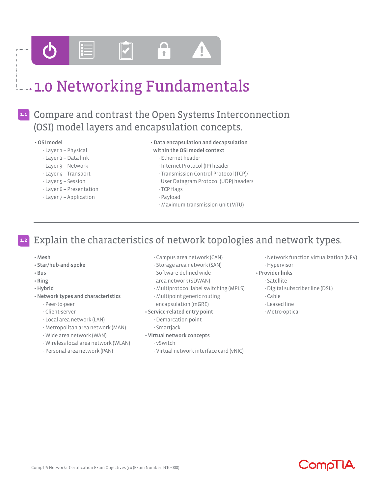

## **1.0 Networking Fundamentals**

## Compare and contrast the Open Systems Interconnection **1.1** (OSI) model layers and encapsulation concepts.

#### • OSI model

- Layer 1 Physical
- Layer 2 Data link
- Layer 3 Network
- Layer 4 Transport
- Layer 5 Session
- Layer 6 Presentation
- 
- Layer 7 Application

#### • Data encapsulation and decapsulation

- within the OSI model context
- Ethernet header
- Internet Protocol (IP) header
- Transmission Control Protocol (TCP)/
- User Datagram Protocol (UDP) headers
- TCP flags
- Payload
- Maximum transmission unit (MTU)

#### Explain the characteristics of network topologies and network types. **1.2**

- Mesh
- Star/hub-and-spoke
- Bus
- Ring
- Hybrid
- Network types and characteristics
- Peer-to-peer
	- Client-server
	- Local area network (LAN)
	- Metropolitan area network (MAN)
	- Wide area network (WAN)
- Wireless local area network (WLAN)
- Personal area network (PAN)
- Campus area network (CAN)
- Storage area network (SAN)
- Software-defined wide
- area network (SDWAN)
- Multiprotocol label switching (MPLS)
- Multipoint generic routing encapsulation (mGRE)
- Service-related entry point
	- Demarcation point
	- Smartjack
- Virtual network concepts
	- vSwitch
	- Virtual network interface card (vNIC)
- Network function virtualization (NFV)
- Hypervisor
- Provider links
- Satellite
	- Digital subscriber line (DSL)
- Cable
- Leased line
- Metro-optical

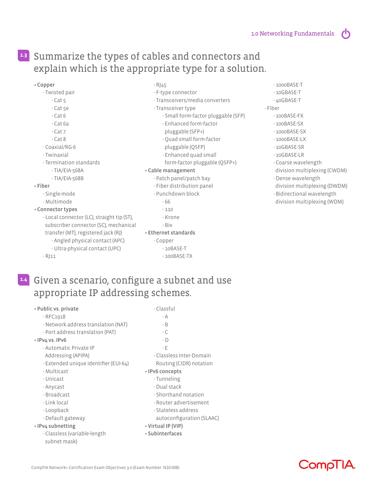$\sqrt{2}$ 

## Summarize the types of cables and connectors and **1.3** explain which is the appropriate type for a solution.

- Copper
	- Twisted pair
		- Cat 5
		- Cat 5e
		- $-$  Cat  $6$
		-
		- Cat 6a
		- Cat 7
		- Cat 8
	- Coaxial/RG-6
	- Twinaxial
	- Termination standards
		- TIA/EIA-568A
		- TIA/EIA-568B

#### • Fiber

- Single-mode
- Multimode

#### • Connector types

- Local connector (LC), straight tip (ST), subscriber connector (SC), mechanical transfer (MT), registered jack (RJ) - Angled physical contact (APC) - Ultra-physical contact (UPC)  $-RJ11$ 

#### - RJ45

- F-type connector
- Transceivers/media converters
- Transceiver type
	- Small form-factor pluggable (SFP)
	- Enhanced form-factor
	- pluggable (SFP+)
	- Quad small form-factor pluggable (QSFP)
	- Enhanced quad small
	- form-factor pluggable (QSFP+)

#### • Cable management

- Patch panel/patch bay
- Fiber distribution panel
- Punchdown block
	- 66
	- 110
	- Krone
	- Bix
- Ethernet standards
	- Copper
		- 10BASE-T
		- 100BASE-TX
- 1000BASE-T
- 10GBASE-T
- 40GBASE-T

#### - Fiber

- 100BASE-FX
- 100BASE-SX
- 1000BASE-SX
- 1000BASE-LX
- 10GBASE-SR
- 10GBASE-LR
- Coarse wavelength division multiplexing (CWDM)
- Dense wavelength division multiplexing (DWDM)
- Bidirectional wavelength
- division multiplexing (WDM)

## Given a scenario, configure a subnet and use **1.4** appropriate IP addressing schemes.

| • Public vs. private                  | - Classful                |  |  |
|---------------------------------------|---------------------------|--|--|
| $-$ RFC1918                           | - A                       |  |  |
| - Network address translation (NAT)   | $-B$                      |  |  |
| - Port address translation (PAT)      | - C                       |  |  |
| · IPv4 vs. IPv6                       | $-D$                      |  |  |
| - Automatic Private IP                | - Е                       |  |  |
| Addressing (APIPA)                    | - Classless Inter-Domain  |  |  |
| - Extended unique identifier (EUI-64) | Routing (CIDR) notation   |  |  |
| - Multicast                           | · IPv6 concepts           |  |  |
| - Unicast                             | - Tunneling               |  |  |
| - Anycast                             | - Dual stack              |  |  |
| - Broadcast                           | - Shorthand notation      |  |  |
| - Link local                          | - Router advertisement    |  |  |
| - Loopback                            | - Stateless address       |  |  |
| - Default gateway                     | autoconfiguration (SLAAC) |  |  |
| · IPv4 subnetting                     | • Virtual IP (VIP)        |  |  |
| - Classless (variable-length          | • Subinterfaces           |  |  |
| subnet mask)                          |                           |  |  |

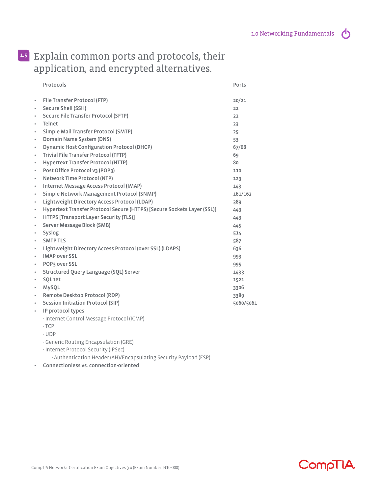$\phi$ 

## Explain common ports and protocols, their **1.5** application, and encrypted alternatives.

|           | Protocols                                                               | Ports     |
|-----------|-------------------------------------------------------------------------|-----------|
| $\bullet$ | File Transfer Protocol (FTP)                                            | 20/21     |
| $\bullet$ | <b>Secure Shell (SSH)</b>                                               | 22        |
| $\bullet$ | Secure File Transfer Protocol (SFTP)                                    | 22        |
| $\bullet$ | <b>Telnet</b>                                                           | 23        |
| $\bullet$ | Simple Mail Transfer Protocol (SMTP)                                    | 25        |
| $\bullet$ | Domain Name System (DNS)                                                | 53        |
| $\bullet$ | <b>Dynamic Host Configuration Protocol (DHCP)</b>                       | 67/68     |
| $\bullet$ | Trivial File Transfer Protocol (TFTP)                                   | 69        |
| $\bullet$ | <b>Hypertext Transfer Protocol (HTTP)</b>                               | 80        |
| $\bullet$ | Post Office Protocol v3 (POP3)                                          | 110       |
| $\bullet$ | <b>Network Time Protocol (NTP)</b>                                      | 123       |
| $\bullet$ | Internet Message Access Protocol (IMAP)                                 | 143       |
| $\bullet$ | Simple Network Management Protocol (SNMP)                               | 161/162   |
| $\bullet$ | Lightweight Directory Access Protocol (LDAP)                            | 389       |
| $\bullet$ | Hypertext Transfer Protocol Secure (HTTPS) [Secure Sockets Layer (SSL)] | 443       |
| $\bullet$ | HTTPS [Transport Layer Security (TLS)]                                  | 443       |
| $\bullet$ | <b>Server Message Block (SMB)</b>                                       | 445       |
| $\bullet$ | <b>Syslog</b>                                                           | 514       |
| $\bullet$ | <b>SMTP TLS</b>                                                         | 587       |
| $\bullet$ | Lightweight Directory Access Protocol (over SSL) (LDAPS)                | 636       |
| $\bullet$ | <b>IMAP over SSL</b>                                                    | 993       |
| $\bullet$ | <b>POP3 over SSL</b>                                                    | 995       |
| $\bullet$ | Structured Query Language (SQL) Server                                  | 1433      |
| $\bullet$ | SQLnet                                                                  | 1521      |
| $\bullet$ | MySQL                                                                   | 3306      |
| $\bullet$ | <b>Remote Desktop Protocol (RDP)</b>                                    | 3389      |
| $\bullet$ | <b>Session Initiation Protocol (SIP)</b>                                | 5060/5061 |
| $\bullet$ | IP protocol types                                                       |           |
|           | - Internet Control Message Protocol (ICMP)                              |           |
|           | $-TCP$                                                                  |           |
|           | - UDP                                                                   |           |
|           |                                                                         |           |

- Generic Routing Encapsulation (GRE)

- Internet Protocol Security (IPSec)

- Authentication Header (AH)/Encapsulating Security Payload (ESP)

• Connectionless vs. connection-oriented

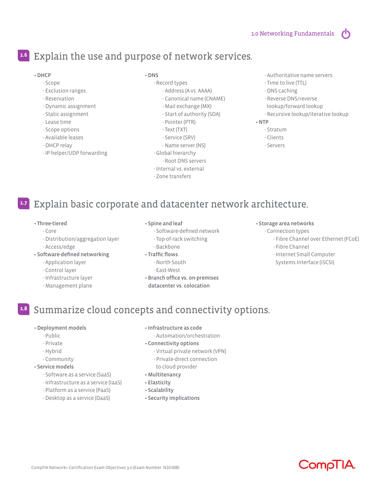$\sqrt{2}$ 

### Explain the use and purpose of network services. **1.6**

#### • DHCP

- Scope
- Exclusion ranges
- Reservation
- Dynamic assignment
- Static assignment
- Lease time
- Scope options
- Available leases
- DHCP relay
- IP helper/UDP forwarding

#### • DNS

- Record types
	- Address (A vs. AAAA)
	- Canonical name (CNAME)
	- Mail exchange (MX)
	- Start of authority (SOA)
	- Pointer (PTR)
	- Text (TXT)
	- Service (SRV)
	- Name server (NS)
- Global hierarchy
	- Root DNS servers
- Internal vs. external
- Zone transfers
- Authoritative name servers
- Time to live (TTL)
- DNS caching
- Reverse DNS/reverse
- lookup/forward lookup
- Recursive lookup/iterative lookup

#### • NTP

- Stratum
- Clients
- Servers
- Explain basic corporate and datacenter network architecture. **1.7**

#### • Three-tiered

- Core
- Distribution/aggregation layer - Access/edge

#### • Software-defined networking

- Application layer
- Control layer
- Infrastructure layer
- Management plane

#### • Spine and leaf

- Software-defined network
- Top-of-rack switching
- Backbone
- Traffic flows
	- North-South
	- East-West
- Branch office vs. on-premises datacenter vs. colocation

#### • Storage area networks

- Connection types
	- Fibre Channel over Ethernet (FCoE)
	- Fibre Channel
	- Internet Small Computer
	- Systems Interface (iSCSI)

### Summarize cloud concepts and connectivity options. **1.8**

#### • Deployment models

- Public
- Private
- Hybrid
- Community

#### • Service models

- Software as a service (SaaS)
- Infrastructure as a service (IaaS)
- Platform as a service (PaaS)
- 
- Desktop as a service (DaaS)
- Infrastructure as code
	- Automation/orchestration
- Connectivity options
	- Virtual private network (VPN)
	- Private-direct connection
	- to cloud provider
- Multitenancy
- Elasticity
- Scalability
- Security implications

**CompTIA**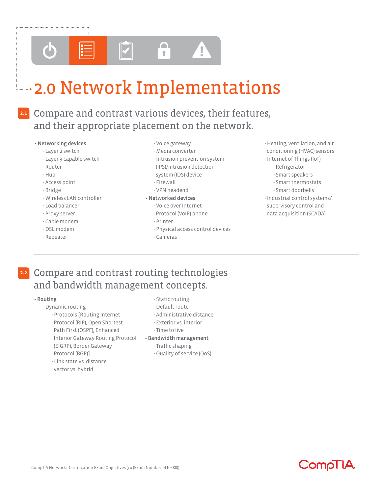

# 2.0 Network Implementations

### **2.1**

## Compare and contrast various devices, their features, and their appropriate placement on the network.

#### • Networking devices

- Layer 2 switch
- Layer 3 capable switch
- Router
- Hub
- Access point
- Bridge
- Wireless LAN controller
- Load balancer
- Proxy server
- Cable modem
- DSL modem
- Repeater
- Voice gateway
- Media converter
- Intrusion prevention system
- (IPS)/intrusion detection
- system (IDS) device
- Firewall
- VPN headend

#### • Networked devices

- Voice over Internet
- Protocol (VoIP) phone
- Printer
- Physical access control devices
- Cameras
- Heating, ventilation, and air conditioning (HVAC) sensors
- Internet of Things (IoT)
	- Refrigerator
	- Smart speakers
	- Smart thermostats
	- Smart doorbells
- Industrial control systems/ supervisory control and data acquisition (SCADA)

### Compare and contrast routing technologies and bandwidth management concepts. **2.2**

#### • Routing

- Dynamic routing
	- Protocols [Routing Internet Protocol (RIP), Open Shortest Path First (OSPF), Enhanced Interior Gateway Routing Protocol (EIGRP), Border Gateway Protocol (BGP)]
	- Link state vs. distance vector vs. hybrid
- Static routing
- Default route
- Administrative distance
- Exterior vs. interior
- Time to live
- Bandwidth management
	- Traffic shaping
	- Quality of service (QoS)

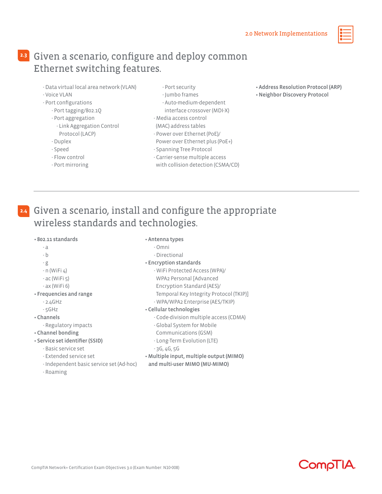## Given a scenario, configure and deploy common **2.3** Ethernet switching features.

- Data virtual local area network (VLAN)
- Voice VLAN
- Port configurations
	- Port tagging/802.1Q
	- Port aggregation
		- Link Aggregation Control Protocol (LACP)
	- Duplex
	- Speed
	- Flow control
	- Port mirroring
- Port security
- Jumbo frames
- Auto-medium-dependent interface crossover (MDI-X)
- Media access control
- (MAC) address tables
- Power over Ethernet (PoE)/
- Power over Ethernet plus (PoE+)
- Spanning Tree Protocol
- Carrier-sense multiple access
- with collision detection (CSMA/CD)
- Address Resolution Protocol (ARP)
- Neighbor Discovery Protocol

## Given a scenario, install and configure the appropriate **2.4** wireless standards and technologies.

#### • 802.11 standards

- a
- b
	-
- 
- g
- n (WiFi 4)
- ac (WiFi 5)
- ax (WiFi 6)
- Frequencies and range
	- 2.4GHz
	- 5GHz
- Channels
	-
- Regulatory impacts
- Channel bonding
- Service set identifier (SSID)
	- Basic service set
	- Extended service set
	- Independent basic service set (Ad-hoc)
	- Roaming
- Antenna types
	- Omni - Directional
- Encryption standards
	-
	- WiFi Protected Access (WPA)/
	- WPA2 Personal [Advanced
	- Encryption Standard (AES)/
	- Temporal Key Integrity Protocol (TKIP)]
	- WPA/WPA2 Enterprise (AES/TKIP)
- Cellular technologies
	- Code-division multiple access (CDMA)
	- Global System for Mobile
	- Communications (GSM)
	- Long-Term Evolution (LTE)
	- 3G, 4G, 5G
- Multiple input, multiple output (MIMO)
- and multi-user MIMO (MU-MIMO)

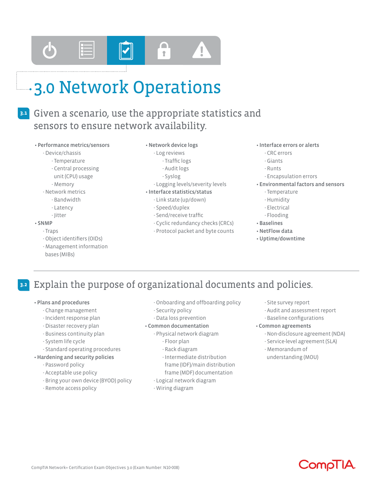

## 3.0 Network Operations

## Given a scenario, use the appropriate statistics and **3.1** sensors to ensure network availability.

#### • Performance metrics/sensors

#### - Device/chassis

- Temperature
- Central processing
- unit (CPU) usage
- Memory
- Network metrics
	- Bandwidth
	- Latency
	- Jitter

#### • SNMP

#### - Traps

- Object identifiers (OIDs)
- Management information bases (MIBs)

#### • Network device logs

#### - Log reviews

- Traffic logs
	- Audit logs
	- Syslog
- Logging levels/severity levels
- Interface statistics/status
	- Link state (up/down)
	- Speed/duplex
	- Send/receive traffic
	- Cyclic redundancy checks (CRCs)
	- Protocol packet and byte counts

#### • Interface errors or alerts

- CRC errors
- Giants
- Runts
- Encapsulation errors
- Environmental factors and sensors
	- Temperature
	- Humidity
	- Electrical
	- Flooding
- Baselines
- NetFlow data
- Uptime/downtime

#### Explain the purpose of organizational documents and policies. **3.2**

#### • Plans and procedures

- Change management
- Incident response plan
- Disaster recovery plan
- Business continuity plan
- System life cycle

#### - Standard operating procedures

- Hardening and security policies
	- Password policy
	- Acceptable use policy
	- Bring your own device (BYOD) policy
	- Remote access policy
- Onboarding and offboarding policy
- Security policy
- Data loss prevention

#### • Common documentation

- Physical network diagram
	- Floor plan
	- Rack diagram
	- Intermediate distribution
	- frame (IDF)/main distribution
	- frame (MDF) documentation
- Logical network diagram
- Wiring diagram
- Site survey report
- Audit and assessment report
- Baseline configurations

#### • Common agreements

- Non-disclosure agreement (NDA)
- Service-level agreement (SLA)
- Memorandum of
- understanding (MOU)

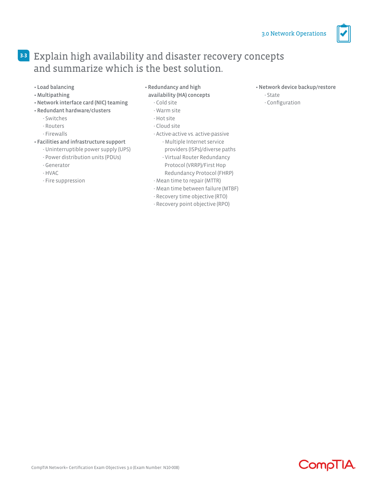

## Explain high availability and disaster recovery concepts **3.3** and summarize which is the best solution.

- Load balancing
- Multipathing
- Network interface card (NIC) teaming
- Redundant hardware/clusters
	- Switches
	- Routers
	- Firewalls

#### • Facilities and infrastructure support

- Uninterruptible power supply (UPS)
- Power distribution units (PDUs)
- Generator
- HVAC
- Fire suppression

• Redundancy and high

### availability (HA) concepts

- Cold site
- Warm site
- Hot site
- Cloud site
- Active-active vs. active-passive
	- Multiple Internet service
	- providers (ISPs)/diverse paths
	- Virtual Router Redundancy Protocol (VRRP)/First Hop
	- Redundancy Protocol (FHRP)
- Mean time to repair (MTTR)
- Mean time between failure (MTBF)
- Recovery time objective (RTO)
- Recovery point objective (RPO)

#### • Network device backup/restore

#### - State

- Configuration

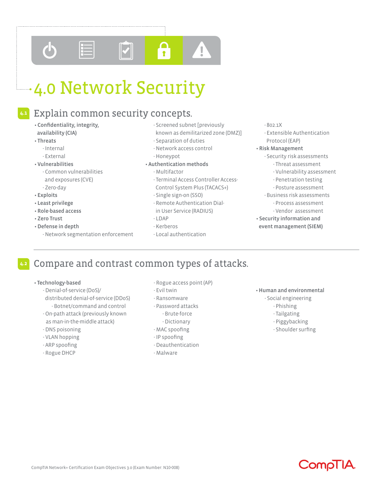

# 4.0 Network Security

## Explain common security concepts.

- Confidentiality, integrity, availability (CIA)
- Threats
	- Internal
	- External
- Vulnerabilities
	- Common vulnerabilities and exposures (CVE) - Zero-day
- Exploits
- Least privilege
- Role-based access
- Zero Trust
- Defense in depth
	- Network segmentation enforcement
- Screened subnet [previously
- known as demilitarized zone (DMZ)]
- Separation of duties
- Network access control - Honeypot
- Authentication methods
	- Multifactor
	- Terminal Access Controller Access- Control System Plus (TACACS+)
	- Single sign-on (SSO)
	- Remote Authentication Dial in User Service (RADIUS)
	- LDAP
	- Kerberos
	- Local authentication

#### - 802.1X

- Extensible Authentication Protocol (EAP)
- Risk Management
	- Security risk assessments - Threat assessment
		- Vulnerability assessment
		- Penetration testing
		- Posture assessment
	- Business risk assessments - Process assessment
		- Vendor assessment
- Security information and event management (SIEM)

- Technology-based
	- Denial-of-service (DoS)/ distributed denial-of-service (DDoS)
	- Botnet/command and control - On-path attack (previously known as man-in-the-middle attack)
	- DNS poisoning
	- VLAN hopping
	- ARP spoofing
	- Rogue DHCP
- Rogue access point (AP)
- Evil twin
- 
- 
- 
- 
- MAC spoofing
- IP spoofing
- Deauthentication
- Malware
- Human and environmental
	- Social engineering
		- Phishing
		- Tailgating
		- Piggybacking
		- Shoulder surfing



Compare and contrast common types of attacks.

- Ransomware
- Password attacks
- Brute-force
	- Dictionary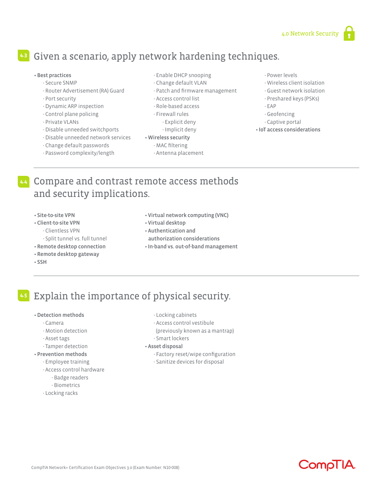## Given a scenario, apply network hardening techniques. **4.3**

#### • Best practices

- Secure SNMP
- Router Advertisement (RA) Guard
- Port security
- Dynamic ARP inspection
- Control plane policing
- Private VLANs
- Disable unneeded switchports
- Disable unneeded network services
- Change default passwords
- Password complexity/length
- Enable DHCP snooping
- Change default VLAN
- Patch and firmware management
- Access control list
- Role-based access
- Firewall rules
	- Explicit deny
- Implicit deny

#### • Wireless security

- MAC filtering
- Antenna placement
- Power levels
- Wireless client isolation
- Guest network isolation
- Preshared keys (PSKs)
- EAP
- Geofencing
- Captive portal
- IoT access considerations
- Compare and contrast remote access methods **4.4** and security implications.
	- Site-to-site VPN
	- Client-to-site VPN
		- Clientless VPN
		- Split tunnel vs. full tunnel
	- Remote desktop connection
	- Remote desktop gateway
	- SSH
- Virtual network computing (VNC)
- Virtual desktop
- Authentication and authorization considerations
- In-band vs. out-of-band management
- Explain the importance of physical security. **4.5**

#### • Detection methods

- Camera
- Motion detection
- Asset tags
- Tamper detection

#### • Prevention methods

- Employee training
- Access control hardware
	- Badge readers
	- Biometrics
- Locking racks
- Locking cabinets
- Access control vestibule
- (previously known as a mantrap)
- Smart lockers

#### • Asset disposal

- Factory reset/wipe configuration
- Sanitize devices for disposal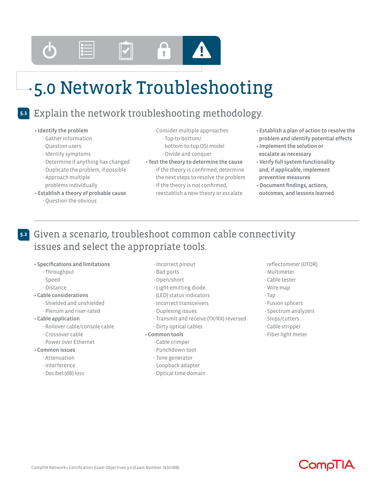

# 5.0 Network Troubleshooting

#### Explain the network troubleshooting methodology. **5.1**

#### • Identify the problem

- Gather information
- Question users
- Identify symptoms
- Determine if anything has changed
- Duplicate the problem, if possible
- Approach multiple problems individually
- Establish a theory of probable cause
	- Question the obvious
- Consider multiple approaches - Top-to-bottom/ bottom-to-top OSI model
- Divide and conquer
- Test the theory to determine the cause - If the theory is confirmed, determine the next steps to resolve the problem - If the theory is not confirmed,
	- reestablish a new theory or escalate
- Establish a plan of action to resolve the problem and identify potential effects
- Implement the solution or escalate as necessary
- Verify full system functionality and, if applicable, implement preventive measures
- Document findings, actions, outcomes, and lessons learned

## Given a scenario, troubleshoot common cable connectivity **5.2** issues and select the appropriate tools.

#### • Specifications and limitations

- Throughput
- Speed
- Distance

#### • Cable considerations

- Shielded and unshielded
- Plenum and riser-rated
- Cable application
	- Rollover cable/console cable
	- Crossover cable
	- Power over Ethernet

### • Common issues

- Attenuation
- Interference
- Decibel (dB) loss
- Incorrect pinout
- Bad ports
- Open/short
- Light-emitting diode
- (LED) status indicators
- Incorrect transceivers
- Duplexing issues
- Transmit and receive (TX/RX) reversed
- Dirty optical cables

#### • Common tools

- Cable crimper
- Punchdown tool
- Tone generator
- Loopback adapter
- Optical time-domain
- reflectometer (OTDR)
- Multimeter
- Cable tester
- Wire map
- Tap
- Fusion splicers
- Spectrum analyzers
- Snips/cutters
- Cable stripper
- Fiber light meter



- -
	-
	-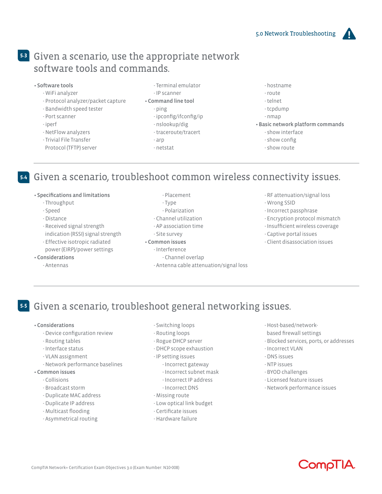## Given a scenario, use the appropriate network **5.3** software tools and commands.

- Software tools
	- WiFi analyzer
	- Protocol analyzer/packet capture
	- Bandwidth speed tester
	- Port scanner
	- iperf
	- NetFlow analyzers
	- Trivial File Transfer
	- Protocol (TFTP) server
- Terminal emulator
- IP scanner • Command line tool
	- ping
	- ipconfig/ifconfig/ip
	- nslookup/dig
	- traceroute/tracert
	- arp
	- netstat
- hostname
- route
- telnet
- tcpdump
- nmap
- Basic network platform commands
	- show interface
	- show config
	- show route

## Given a scenario, troubleshoot common wireless connectivity issues. **5.4**

#### • Specifications and limitations

- Throughput
- Speed
- Distance
- Received signal strength indication (RSSI) signal strength
- Effective isotropic radiated
- power (EIRP)/power settings
- Considerations
	- Antennas
- Placement
- Type
- Polarization
- Channel utilization
- AP association time
- Site survey
- Common issues
	- Interference
	- Channel overlap
	- Antenna cable attenuation/signal loss
- RF attenuation/signal loss
- Wrong SSID
- Incorrect passphrase
- Encryption protocol mismatch
- Insufficient wireless coverage
- Captive portal issues
- Client disassociation issues

Given a scenario, troubleshoot general networking issues. **5.5**

#### • Considerations

- Device configuration review
- Routing tables
- Interface status
- VLAN assignment
- Network performance baselines
- Common issues
	- Collisions
	- Broadcast storm
	- Duplicate MAC address
	- Duplicate IP address
	- Multicast flooding
	- Asymmetrical routing
- Switching loops
- Routing loops
- Rogue DHCP server
- DHCP scope exhaustion
- IP setting issues
- Incorrect gateway
- Incorrect subnet mask
- Incorrect IP address
- Incorrect DNS
- Missing route
- Low optical link budget
- Certificate issues
- Hardware failure
- Host-based/network-
- based firewall settings
- Blocked services, ports, or addresses
- Incorrect VLAN
- DNS issues
- NTP issues
- BYOD challenges
- Licensed feature issues
- Network performance issues

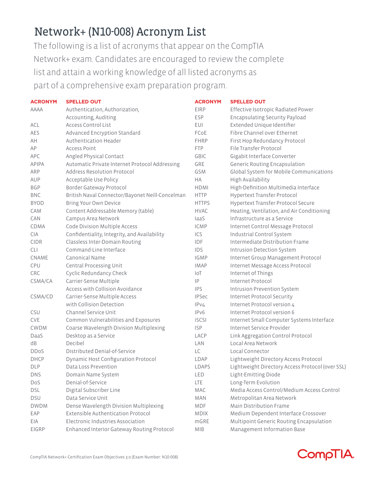## Network+ (N10-008) Acronym List

The following is a list of acronyms that appear on the CompTIA Network+ exam. Candidates are encouraged to review the complete list and attain a working knowledge of all listed acronyms as part of a comprehensive exam preparation program.

| <b>ACRONYM</b> | <b>SPELLED OUT</b>                              | <b>ACRONYM</b> | <b>SPELLED OUT</b>                               |
|----------------|-------------------------------------------------|----------------|--------------------------------------------------|
| <b>AAAA</b>    | Authentication, Authorization,                  | <b>EIRP</b>    | Effective Isotropic Radiated Power               |
|                | Accounting, Auditing                            | <b>ESP</b>     | <b>Encapsulating Security Payload</b>            |
| ACL            | <b>Access Control List</b>                      | EUI            | Extended Unique Identifier                       |
| AES            | Advanced Encryption Standard                    | FCoE           | Fibre Channel over Ethernet                      |
| AH             | Authentication Header                           | <b>FHRP</b>    | First Hop Redundancy Protocol                    |
| AP             | <b>Access Point</b>                             | <b>FTP</b>     | File Transfer Protocol                           |
| APC            | Angled Physical Contact                         | <b>GBIC</b>    | Gigabit Interface Converter                      |
| APIPA          | Automatic Private Internet Protocol Addressing  | GRE            | <b>Generic Routing Encapsulation</b>             |
| ARP            | Address Resolution Protocol                     | <b>GSM</b>     | Global System for Mobile Communications          |
| AUP            | Acceptable Use Policy                           | HA             | High Availability                                |
| <b>BGP</b>     | Border Gateway Protocol                         | HDMI           | High-Definition Multimedia Interface             |
| <b>BNC</b>     | British Naval Connector/Bayonet Neill-Concelman | <b>HTTP</b>    | Hypertext Transfer Protocol                      |
| <b>BYOD</b>    | Bring Your Own Device                           | <b>HTTPS</b>   | Hypertext Transfer Protocol Secure               |
| CAM            | Content Addressable Memory (table)              | <b>HVAC</b>    | Heating, Ventilation, and Air Conditioning       |
| CAN            | Campus Area Network                             | laaS           | Infrastructure as a Service                      |
| <b>CDMA</b>    | Code Division Multiple Access                   | <b>ICMP</b>    | Internet Control Message Protocol                |
| <b>CIA</b>     | Confidentiality, Integrity, and Availability    | ICS            | Industrial Control System                        |
| <b>CIDR</b>    | Classless Inter-Domain Routing                  | <b>IDF</b>     | Intermediate Distribution Frame                  |
| <b>CLI</b>     | Command-Line Interface                          | IDS            | <b>Intrusion Detection System</b>                |
| CNAME          | Canonical Name                                  | <b>IGMP</b>    | Internet Group Management Protocol               |
| <b>CPU</b>     | Central Processing Unit                         | <b>IMAP</b>    | Internet Message Access Protocol                 |
| <b>CRC</b>     | Cyclic Redundancy Check                         | $I \circ T$    | Internet of Things                               |
| CSMA/CA        | Carrier-Sense Multiple                          | P              | Internet Protocol                                |
|                | Access with Collision Avoidance                 | <b>IPS</b>     | <b>Intrusion Prevention System</b>               |
| CSMA/CD        | Carrier-Sense Multiple Access                   | <b>IPSec</b>   | <b>Internet Protocol Security</b>                |
|                | with Collision Detection                        | IPV4           | Internet Protocol version 4                      |
| CSU            | Channel Service Unit                            | IPv6           | Internet Protocol version 6                      |
| <b>CVE</b>     | Common Vulnerabilities and Exposures            | <b>iSCSI</b>   | Internet Small Computer Systems Interface        |
| <b>CWDM</b>    | Coarse Wavelength Division Multiplexing         | <b>ISP</b>     | Internet Service Provider                        |
| DaaS           | Desktop as a Service                            | LACP           | Link Aggregation Control Protocol                |
| dB             | Decibel                                         | LAN            | Local Area Network                               |
| <b>DDoS</b>    | Distributed Denial-of-Service                   | LC             | Local Connector                                  |
| <b>DHCP</b>    | Dynamic Host Configuration Protocol             | LDAP           | Lightweight Directory Access Protocol            |
| <b>DLP</b>     | Data Loss Prevention                            | LDAPS          | Lightweight Directory Access Protocol (over SSL) |
| <b>DNS</b>     | Domain Name System                              | <b>LED</b>     | Light-Emitting Diode                             |
| Dos            | Denial-of-Service                               | <b>LTE</b>     | Long-Term Evolution                              |
| <b>DSL</b>     | Digital Subscriber Line                         | MAC            | Media Access Control/Medium Access Control       |
| <b>DSU</b>     | Data Service Unit                               | MAN            | Metropolitan Area Network                        |
| <b>DWDM</b>    | Dense Wavelength Division Multiplexing          | MDF            | Main Distribution Frame                          |
| EAP            | Extensible Authentication Protocol              | MDIX           | Medium Dependent Interface Crossover             |
| EIA            | Electronic Industries Association               | mGRE           | Multipoint Generic Routing Encapsulation         |
| EIGRP          | Enhanced Interior Gateway Routing Protocol      | MIB            | Management Information Base                      |

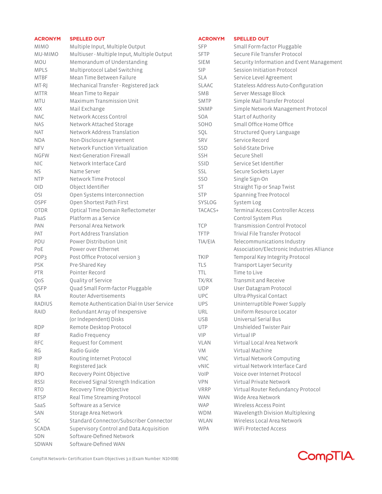| <b>ACRONYM</b>   | <b>SPELLED OUT</b>                             | <b>ACRONYM</b> | <b>SPELLED OUT</b>                                                        |
|------------------|------------------------------------------------|----------------|---------------------------------------------------------------------------|
| <b>MIMO</b>      | Multiple Input, Multiple Output                | <b>SFP</b>     | Small Form-factor Pluggable                                               |
| MU-MIMO          | Multiuser - Multiple Input, Multiple Output    | <b>SFTP</b>    | Secure File Transfer Protocol                                             |
| MOU              | Memorandum of Understanding                    | <b>SIEM</b>    | Security Information and Event Management                                 |
| <b>MPLS</b>      | Multiprotocol Label Switching                  | <b>SIP</b>     | Session Initiation Protocol                                               |
| <b>MTBF</b>      | Mean Time Between Failure                      | <b>SLA</b>     | Service Level Agreement                                                   |
| MT-RJ            | Mechanical Transfer - Registered Jack          | <b>SLAAC</b>   | Stateless Address Auto-Configuration                                      |
| <b>MTTR</b>      | Mean Time to Repair                            | <b>SMB</b>     | Server Message Block                                                      |
| <b>MTU</b>       | Maximum Transmission Unit                      | <b>SMTP</b>    | Simple Mail Transfer Protocol                                             |
| MX.              | Mail Exchange                                  | <b>SNMP</b>    | Simple Network Management Protocol                                        |
| <b>NAC</b>       | Network Access Control                         | SOA            | Start of Authority                                                        |
| <b>NAS</b>       | Network Attached Storage                       | SOHO           | Small Office Home Office                                                  |
| <b>NAT</b>       | Network Address Translation                    | SQL            | Structured Query Language                                                 |
| <b>NDA</b>       | Non-Disclosure Agreement                       | <b>SRV</b>     | Service Record                                                            |
| <b>NFV</b>       | Network Function Virtualization                | SSD            | Solid-State Drive                                                         |
| <b>NGFW</b>      | Next-Generation Firewall                       | <b>SSH</b>     | Secure Shell                                                              |
| <b>NIC</b>       | Network Interface Card                         | SSID           | Service Set Identifier                                                    |
| <b>NS</b>        | Name Server                                    | SSL            | Secure Sockets Layer                                                      |
| <b>NTP</b>       | Network Time Protocol                          | <b>SSO</b>     |                                                                           |
| <b>OID</b>       |                                                | ST             | Single Sign-On                                                            |
|                  | Object Identifier                              |                | Straight Tip or Snap Twist                                                |
| OSI              | Open Systems Interconnection                   | <b>STP</b>     | Spanning Tree Protocol                                                    |
| <b>OSPF</b>      | Open Shortest Path First                       | SYSLOG         | System Log                                                                |
| <b>OTDR</b>      | Optical Time Domain Reflectometer              | TACACS+        | Terminal Access Controller Access                                         |
| PaaS             | Platform as a Service                          |                | Control System Plus                                                       |
| <b>PAN</b>       | Personal Area Network                          | <b>TCP</b>     | <b>Transmission Control Protocol</b>                                      |
| <b>PAT</b>       | Port Address Translation                       | <b>TFTP</b>    | Trivial File Transfer Protocol                                            |
| PDU              | Power Distribution Unit<br>Power over Ethernet | TIA/EIA        | Telecommunications Industry<br>Association/Electronic Industries Alliance |
| PoE              |                                                |                |                                                                           |
| POP <sub>3</sub> | Post Office Protocol version 3                 | <b>TKIP</b>    | Temporal Key Integrity Protocol                                           |
| <b>PSK</b>       | Pre-Shared Key                                 | TLS            | Transport Layer Security                                                  |
| <b>PTR</b>       | Pointer Record                                 | TTL.           | Time to Live                                                              |
| QoS              | Quality of Service                             | TX/RX          | Transmit and Receive                                                      |
| QSFP             | Quad Small Form-factor Pluggable               | <b>UDP</b>     | User Datagram Protocol                                                    |
| <b>RA</b>        | <b>Router Advertisements</b>                   | <b>UPC</b>     | Ultra-Physical Contact                                                    |
| <b>RADIUS</b>    | Remote Authentication Dial-In User Service     | <b>UPS</b>     | Uninterruptible Power Supply                                              |
| RAID             | Redundant Array of Inexpensive                 | URL            | Uniform Resource Locator                                                  |
|                  | (or Independent) Disks                         | <b>USB</b>     | Universal Serial Bus                                                      |
| <b>RDP</b>       | Remote Desktop Protocol                        | <b>UTP</b>     | Unshielded Twister Pair                                                   |
| <b>RF</b>        | Radio Frequency                                | <b>VIP</b>     | Virtual IP                                                                |
| <b>RFC</b>       | Request for Comment                            | <b>VLAN</b>    | Virtual Local Area Network                                                |
| RG               | Radio Guide                                    | VM.            | Virtual Machine                                                           |
| <b>RIP</b>       | Routing Internet Protocol                      | <b>VNC</b>     | Virtual Network Computing                                                 |
| RJ               | Registered Jack                                | <b>vNIC</b>    | virtual Network Interface Card                                            |
| <b>RPO</b>       | Recovery Point Objective                       | VoIP           | Voice over Internet Protocol                                              |
| <b>RSSI</b>      | Received Signal Strength Indication            | <b>VPN</b>     | Virtual Private Network                                                   |
| <b>RTO</b>       | Recovery Time Objective                        | <b>VRRP</b>    | Virtual Router Redundancy Protocol                                        |
| <b>RTSP</b>      | Real Time Streaming Protocol                   | <b>WAN</b>     | Wide Area Network                                                         |
| SaaS             | Software as a Service                          | <b>WAP</b>     | Wireless Access Point                                                     |
| SAN              | Storage Area Network                           | <b>WDM</b>     | Wavelength Division Multiplexing                                          |
| SC               | Standard Connector/Subscriber Connector        | <b>WLAN</b>    | Wireless Local Area Network                                               |
| <b>SCADA</b>     | Supervisory Control and Data Acquisition       | <b>WPA</b>     | WiFi Protected Access                                                     |
| SDN              | Software-Defined Network                       |                |                                                                           |
| SDWAN            | Software-Defined WAN                           |                |                                                                           |

CompTIA Network+ Certification Exam Objectives 3.0 (Exam Number: N10-008)